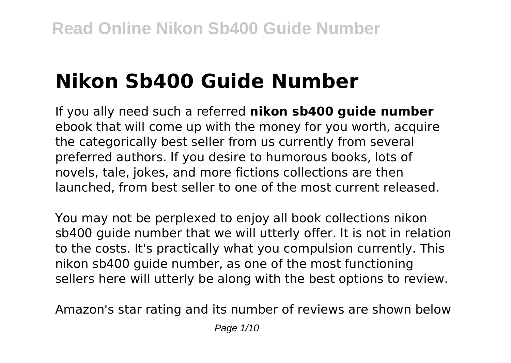# **Nikon Sb400 Guide Number**

If you ally need such a referred **nikon sb400 guide number** ebook that will come up with the money for you worth, acquire the categorically best seller from us currently from several preferred authors. If you desire to humorous books, lots of novels, tale, jokes, and more fictions collections are then launched, from best seller to one of the most current released.

You may not be perplexed to enjoy all book collections nikon sb400 guide number that we will utterly offer. It is not in relation to the costs. It's practically what you compulsion currently. This nikon sb400 guide number, as one of the most functioning sellers here will utterly be along with the best options to review.

Amazon's star rating and its number of reviews are shown below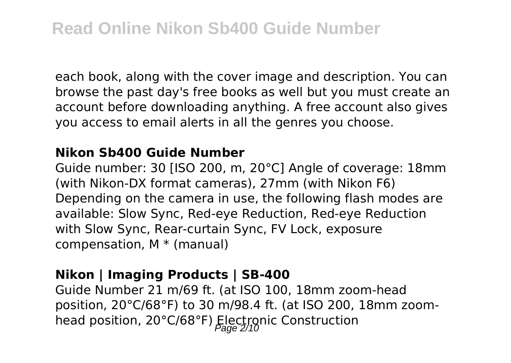each book, along with the cover image and description. You can browse the past day's free books as well but you must create an account before downloading anything. A free account also gives you access to email alerts in all the genres you choose.

#### **Nikon Sb400 Guide Number**

Guide number: 30 [ISO 200, m, 20°C] Angle of coverage: 18mm (with Nikon-DX format cameras), 27mm (with Nikon F6) Depending on the camera in use, the following flash modes are available: Slow Sync, Red-eye Reduction, Red-eye Reduction with Slow Sync, Rear-curtain Sync, FV Lock, exposure compensation, M \* (manual)

#### **Nikon | Imaging Products | SB-400**

Guide Number 21 m/69 ft. (at ISO 100, 18mm zoom-head position, 20°C/68°F) to 30 m/98.4 ft. (at ISO 200, 18mm zoomhead position, 20°C/68°F) Electronic Construction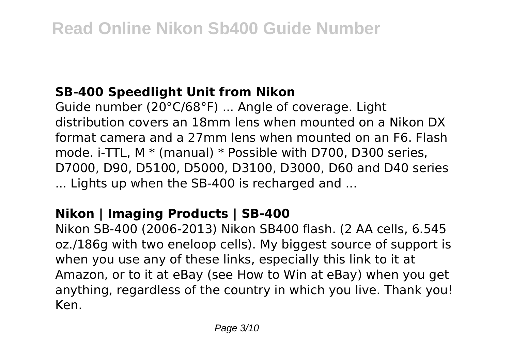## **SB-400 Speedlight Unit from Nikon**

Guide number (20°C/68°F) ... Angle of coverage. Light distribution covers an 18mm lens when mounted on a Nikon DX format camera and a 27mm lens when mounted on an F6. Flash mode. i-TTL, M \* (manual) \* Possible with D700, D300 series, D7000, D90, D5100, D5000, D3100, D3000, D60 and D40 series ... Lights up when the SB-400 is recharged and ...

# **Nikon | Imaging Products | SB-400**

Nikon SB-400 (2006-2013) Nikon SB400 flash. (2 AA cells, 6.545 oz./186g with two eneloop cells). My biggest source of support is when you use any of these links, especially this link to it at Amazon, or to it at eBay (see How to Win at eBay) when you get anything, regardless of the country in which you live. Thank you! Ken.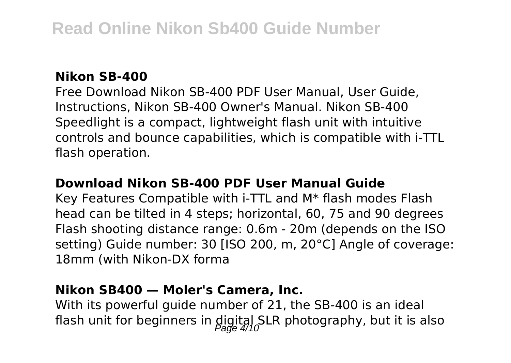#### **Nikon SB-400**

Free Download Nikon SB-400 PDF User Manual, User Guide, Instructions, Nikon SB-400 Owner's Manual. Nikon SB-400 Speedlight is a compact, lightweight flash unit with intuitive controls and bounce capabilities, which is compatible with i-TTL flash operation.

#### **Download Nikon SB-400 PDF User Manual Guide**

Key Features Compatible with i-TTL and M\* flash modes Flash head can be tilted in 4 steps; horizontal, 60, 75 and 90 degrees Flash shooting distance range: 0.6m - 20m (depends on the ISO setting) Guide number: 30 [ISO 200, m, 20°C] Angle of coverage: 18mm (with Nikon-DX forma

#### **Nikon SB400 — Moler's Camera, Inc.**

With its powerful guide number of 21, the SB-400 is an ideal flash unit for beginners in  $\frac{\text{digital}}{\text{Pade}}$  4/10 LR photography, but it is also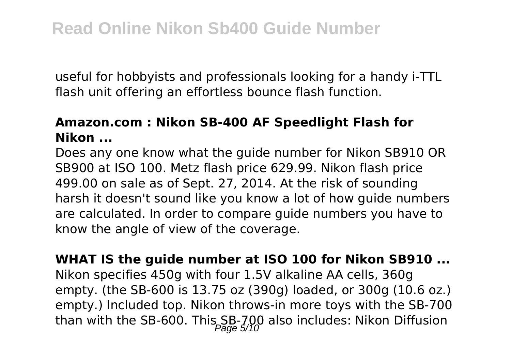useful for hobbyists and professionals looking for a handy i-TTL flash unit offering an effortless bounce flash function.

### **Amazon.com : Nikon SB-400 AF Speedlight Flash for Nikon ...**

Does any one know what the guide number for Nikon SB910 OR SB900 at ISO 100. Metz flash price 629.99. Nikon flash price 499.00 on sale as of Sept. 27, 2014. At the risk of sounding harsh it doesn't sound like you know a lot of how guide numbers are calculated. In order to compare guide numbers you have to know the angle of view of the coverage.

**WHAT IS the guide number at ISO 100 for Nikon SB910 ...** Nikon specifies 450g with four 1.5V alkaline AA cells, 360g empty. (the SB-600 is 13.75 oz (390g) loaded, or 300g (10.6 oz.) empty.) Included top. Nikon throws-in more toys with the SB-700 than with the SB-600. This SB-700 also includes: Nikon Diffusion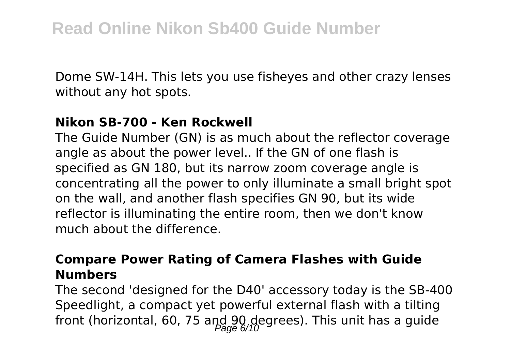Dome SW-14H. This lets you use fisheyes and other crazy lenses without any hot spots.

#### **Nikon SB-700 - Ken Rockwell**

The Guide Number (GN) is as much about the reflector coverage angle as about the power level.. If the GN of one flash is specified as GN 180, but its narrow zoom coverage angle is concentrating all the power to only illuminate a small bright spot on the wall, and another flash specifies GN 90, but its wide reflector is illuminating the entire room, then we don't know much about the difference.

#### **Compare Power Rating of Camera Flashes with Guide Numbers**

The second 'designed for the D40' accessory today is the SB-400 Speedlight, a compact yet powerful external flash with a tilting front (horizontal, 60, 75 and 90 degrees). This unit has a guide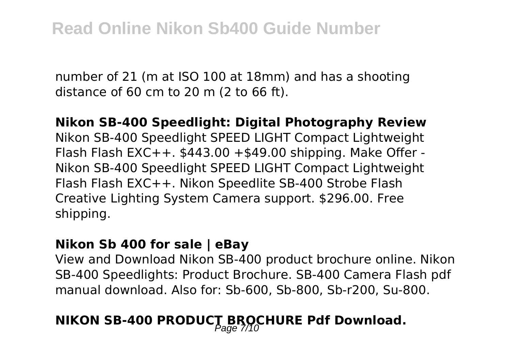number of 21 (m at ISO 100 at 18mm) and has a shooting distance of 60 cm to 20 m (2 to 66 ft).

#### **Nikon SB-400 Speedlight: Digital Photography Review**

Nikon SB-400 Speedlight SPEED LIGHT Compact Lightweight Flash Flash EXC++.  $$443.00 + $49.00$  shipping. Make Offer -Nikon SB-400 Speedlight SPEED LIGHT Compact Lightweight Flash Flash EXC++. Nikon Speedlite SB-400 Strobe Flash Creative Lighting System Camera support. \$296.00. Free shipping.

#### **Nikon Sb 400 for sale | eBay**

View and Download Nikon SB-400 product brochure online. Nikon SB-400 Speedlights: Product Brochure. SB-400 Camera Flash pdf manual download. Also for: Sb-600, Sb-800, Sb-r200, Su-800.

# **NIKON SB-400 PRODUCT BROCHURE Pdf Download.**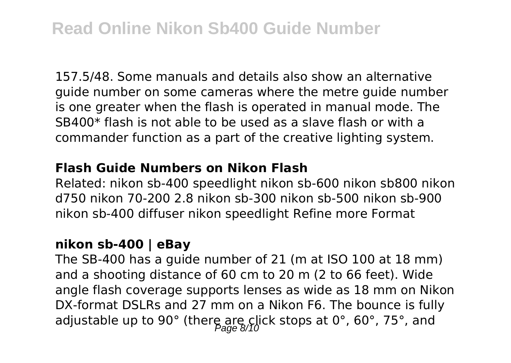# **Read Online Nikon Sb400 Guide Number**

157.5/48. Some manuals and details also show an alternative guide number on some cameras where the metre guide number is one greater when the flash is operated in manual mode. The SB400\* flash is not able to be used as a slave flash or with a commander function as a part of the creative lighting system.

#### **Flash Guide Numbers on Nikon Flash**

Related: nikon sb-400 speedlight nikon sb-600 nikon sb800 nikon d750 nikon 70-200 2.8 nikon sb-300 nikon sb-500 nikon sb-900 nikon sb-400 diffuser nikon speedlight Refine more Format

### **nikon sb-400 | eBay**

The SB-400 has a guide number of 21 (m at ISO 100 at 18 mm) and a shooting distance of 60 cm to 20 m (2 to 66 feet). Wide angle flash coverage supports lenses as wide as 18 mm on Nikon DX-format DSLRs and 27 mm on a Nikon F6. The bounce is fully adjustable up to 90° (there are click stops at 0°, 60°, 75°, and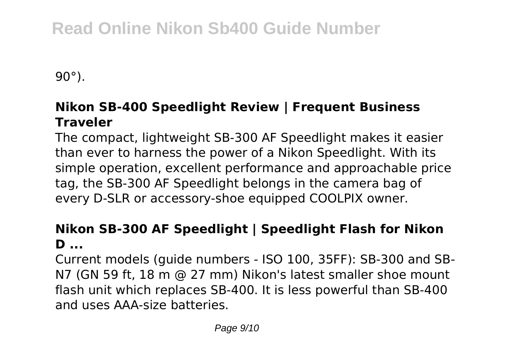# **Read Online Nikon Sb400 Guide Number**

90°).

### **Nikon SB-400 Speedlight Review | Frequent Business Traveler**

The compact, lightweight SB-300 AF Speedlight makes it easier than ever to harness the power of a Nikon Speedlight. With its simple operation, excellent performance and approachable price tag, the SB-300 AF Speedlight belongs in the camera bag of every D-SLR or accessory-shoe equipped COOLPIX owner.

### **Nikon SB-300 AF Speedlight | Speedlight Flash for Nikon D ...**

Current models (guide numbers - ISO 100, 35FF): SB-300 and SB-N7 (GN 59 ft, 18 m @ 27 mm) Nikon's latest smaller shoe mount flash unit which replaces SB-400. It is less powerful than SB-400 and uses AAA-size batteries.